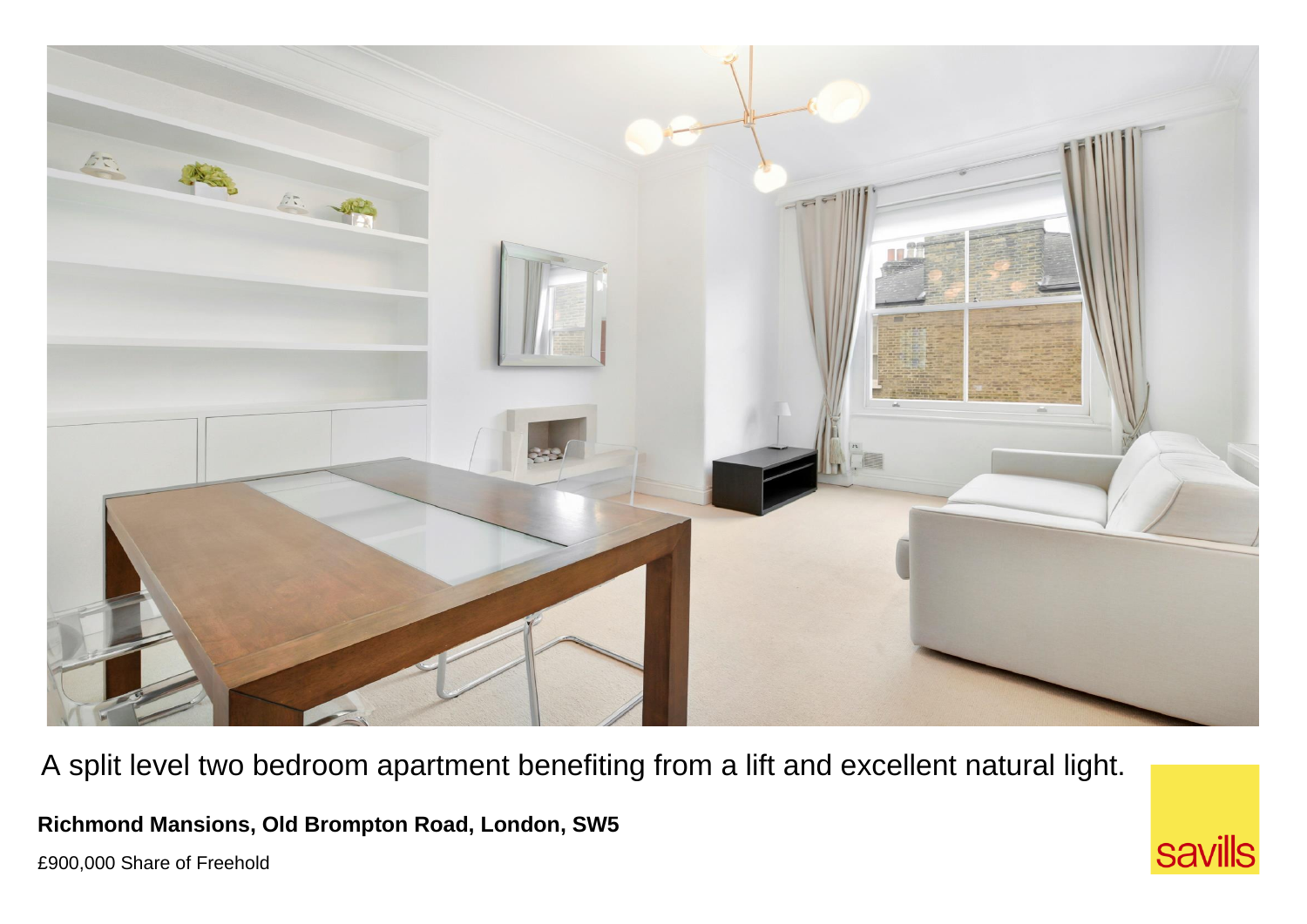

A split level two bedroom apartment benefiting from a lift and excellent natural light.

**Richmond Mansions, Old Brompton Road, London, SW5**

£900,000 Share of Freehold

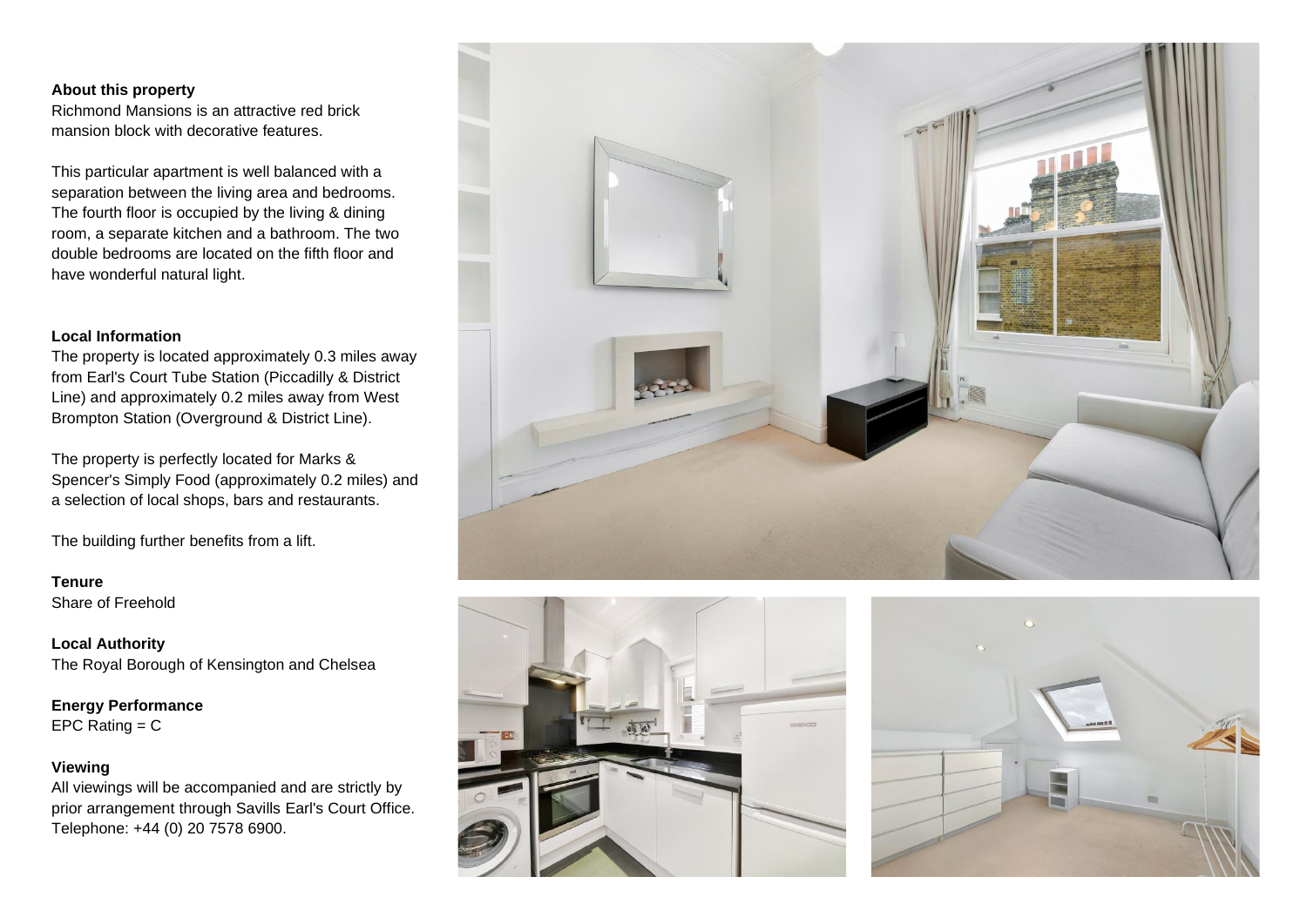## **About this property**

Richmond Mansions is an attractive red brick mansion block with decorative features.

This particular apartment is well balanced with a separation between the living area and bedrooms. The fourth floor is occupied by the living & dining room, a separate kitchen and a bathroom. The two double bedrooms are located on the fifth floor and have wonderful natural light.

## **Local Information**

The property is located approximately 0.3 miles away from Earl's Court Tube Station (Piccadilly & District Line) and approximately 0.2 miles away from West Brompton Station (Overground & District Line).

The property is perfectly located for Marks & Spencer's Simply Food (approximately 0.2 miles) and a selection of local shops, bars and restaurants.

The building further benefits from a lift.

**Tenure** Share of Freehold

**Local Authority** The Royal Borough of Kensington and Chelsea

**Energy Performance** EPC Rating  $= C$ 

## **Viewing**

All viewings will be accompanied and are strictly by prior arrangement through Savills Earl's Court Office. Telephone: +44 (0) 20 7578 6900.





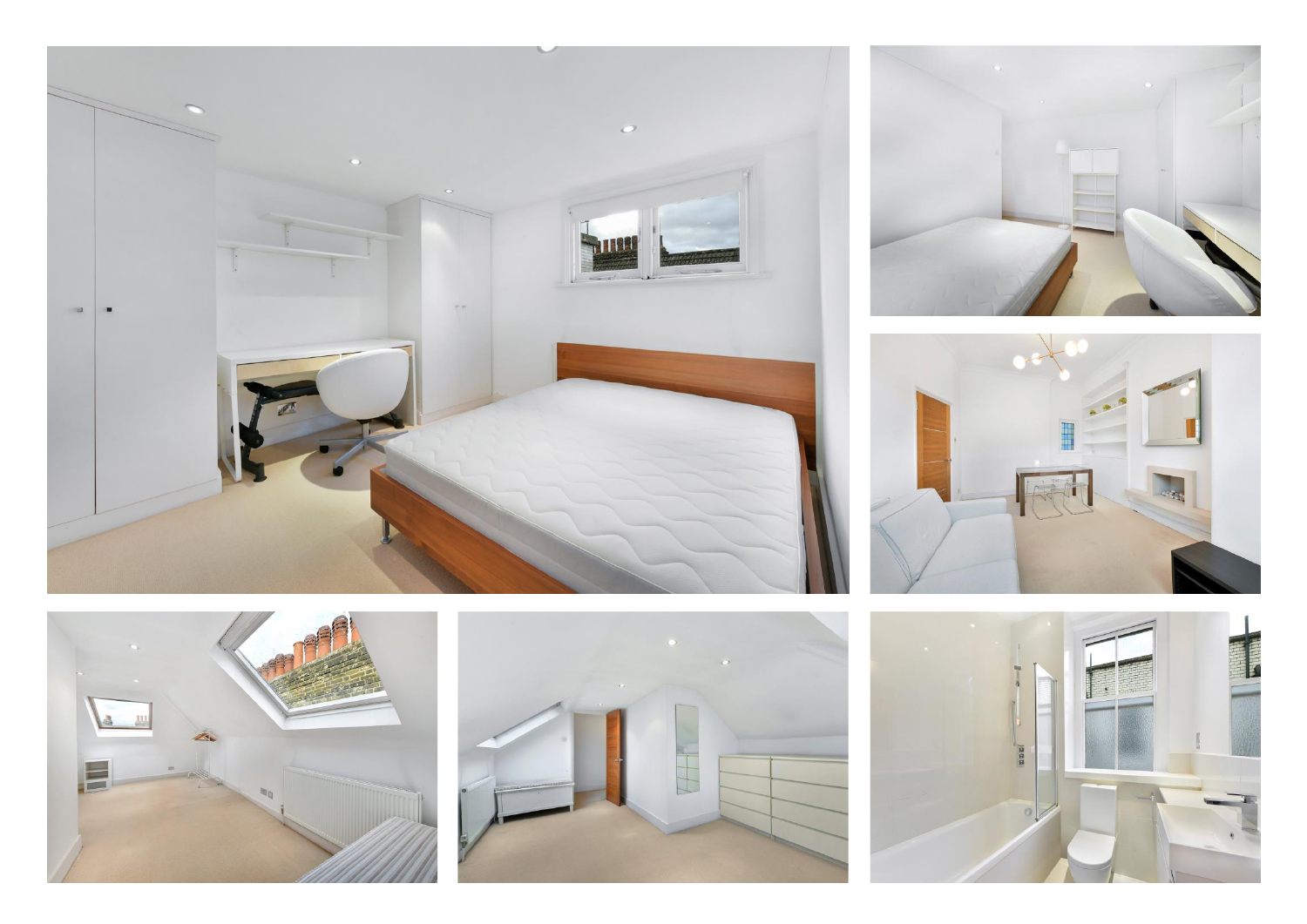